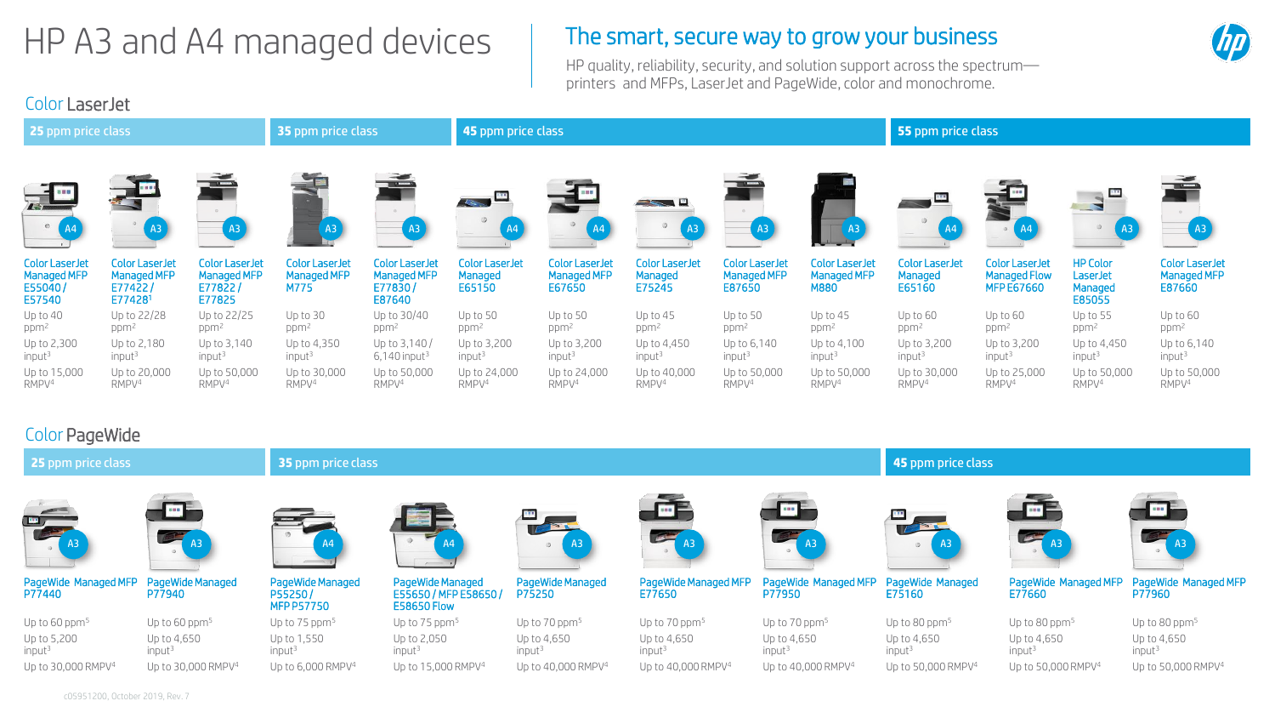# $HP$  A3 and A4 managed devices  $\parallel$  The smart, secure way to grow your business

HP quality, reliability, security, and solution support across the spectrum printers and MFPs, LaserJet and PageWide, color and monochrome.

## Color LaserJet

| <b>25 ppm price class</b>                                        |                                                            |                                                           | <b>35 ppm price class</b>                           |                                                           | 45 ppm price class                         |                                                |                                            |                                                | 55 ppm price class                           |                                            |                                                                   |                                                  |                                                       |
|------------------------------------------------------------------|------------------------------------------------------------|-----------------------------------------------------------|-----------------------------------------------------|-----------------------------------------------------------|--------------------------------------------|------------------------------------------------|--------------------------------------------|------------------------------------------------|----------------------------------------------|--------------------------------------------|-------------------------------------------------------------------|--------------------------------------------------|-------------------------------------------------------|
| $\circ$                                                          | A3                                                         | A3                                                        | A3                                                  | (A3                                                       | <b>Les contrats</b><br>A <sub>4</sub>      | A4                                             | AB'                                        | $\left[$ A3                                    |                                              |                                            | A4                                                                |                                                  | A3                                                    |
| <b>Color LaserJet</b><br><b>Managed MFP</b><br>E55040/<br>E57540 | <b>Color LaserJet</b><br>Managed MFP<br>E77422/<br>E774281 | <b>Color LaserJet</b><br>Managed MFP<br>E77822/<br>E77825 | <b>Color LaserJet</b><br><b>Managed MFP</b><br>M775 | <b>Color LaserJet</b><br>Managed MFP<br>E77830/<br>E87640 | <b>Color LaserJet</b><br>Managed<br>E65150 | <b>Color LaserJet</b><br>Managed MFP<br>E67650 | <b>Color LaserJet</b><br>Managed<br>E75245 | <b>Color LaserJet</b><br>Managed MFP<br>E87650 | <b>Color LaserJet</b><br>Managed MFP<br>M880 | <b>Color LaserJet</b><br>Managed<br>E65160 | <b>Color LaserJet</b><br><b>Managed Flow</b><br><b>MFP E67660</b> | <b>HP Color</b><br>LaserJet<br>Managed<br>E85055 | <b>Color LaserJet</b><br><b>Managed MFP</b><br>E87660 |
| Up to 40                                                         | Up to 22/28                                                | Up to 22/25                                               | Up to 30                                            | Up to 30/40                                               | Up to 50                                   | Up to 50                                       | Up to 45                                   | Up to 50                                       | Up to $45$                                   | Up to 60                                   | Up to 60                                                          | Up to 55                                         | Up to 60                                              |
| ppm <sup>2</sup>                                                 | ppm <sup>2</sup>                                           | ppm <sup>2</sup>                                          | ppm <sup>2</sup>                                    | ppm <sup>2</sup>                                          | ppm <sup>2</sup>                           | ppm <sup>2</sup>                               | ppm <sup>2</sup>                           | ppm <sup>2</sup>                               | ppm <sup>2</sup>                             | ppm <sup>2</sup>                           | ppm <sup>2</sup>                                                  | ppm <sup>2</sup>                                 | ppm <sup>2</sup>                                      |
| Up to 2,300                                                      | Up to 2,180                                                | Up to 3,140                                               | Up to 4,350                                         | Up to 3,140/                                              | Up to 3,200                                | Up to 3,200                                    | Up to 4,450                                | Up to 6,140                                    | Up to 4,100                                  | Up to 3,200                                | Up to 3,200                                                       | Up to 4,450                                      | Up to 6,140                                           |
| input <sup>3</sup>                                               | input <sup>3</sup>                                         | input <sup>3</sup>                                        | input <sup>3</sup>                                  | $6,140$ input <sup>3</sup>                                | input <sup>3</sup>                         | input <sup>3</sup>                             | input <sup>3</sup>                         | input <sup>3</sup>                             | input <sup>3</sup>                           | input <sup>3</sup>                         | input <sup>3</sup>                                                | input <sup>3</sup>                               | input <sup>3</sup>                                    |
| Up to 15,000                                                     | Up to 20,000                                               | Up to 50,000                                              | Up to 30,000                                        | Up to 50,000                                              | Up to 24,000                               | Up to 24,000                                   | Up to 40,000                               | Up to 50,000                                   | Up to 50,000                                 | Up to 30,000                               | Up to 25,000                                                      | Up to 50,000                                     | Up to 50,000                                          |
| RMPV <sup>4</sup>                                                | RMPV <sup>4</sup>                                          | RMPV <sup>4</sup>                                         | RMPV <sup>4</sup>                                   | RMPV <sup>4</sup>                                         | RMPV <sup>4</sup>                          | RMPV <sup>4</sup>                              | RMPV <sup>4</sup>                          | RMPV <sup>4</sup>                              | RMPV <sup>4</sup>                            | RMPV <sup>4</sup>                          | RMPV <sup>4</sup>                                                 | RMPV <sup>4</sup>                                | RMPV <sup>4</sup>                                     |

## Color PageWide

| COLOI LAGETTIUS                   |                                            |                                                  |                                                                 |                                   |                                   |                                   |                                   |                                   |                                                                                          |
|-----------------------------------|--------------------------------------------|--------------------------------------------------|-----------------------------------------------------------------|-----------------------------------|-----------------------------------|-----------------------------------|-----------------------------------|-----------------------------------|------------------------------------------------------------------------------------------|
| 25 ppm price class                |                                            | <b>35 ppm price class</b>                        |                                                                 |                                   | 45 ppm price class                |                                   |                                   |                                   |                                                                                          |
| ر سال                             | <b>Contract Contract Contract Contract</b> | A <sup>4</sup>                                   |                                                                 | <b>TABLE</b>                      | $m =$<br>A <sub>3</sub>           | والتاي<br>$\overline{A}$ 3        | $\overline{\mathbf{u}}$ .<br>A3   | <b>Figure</b>                     | $\begin{array}{c} \begin{array}{c} \text{d}{\color{green} \end{array} \end{array}$<br>A3 |
| PageWide Managed MFP<br>P77440    | PageWide Managed<br>P77940                 | PageWide Managed<br>P55250/<br><b>MFP P57750</b> | PageWide Managed<br>E55650 / MFP E58650 /<br><b>E58650 Flow</b> | PageWide Managed<br>P75250        | PageWide Managed MFF<br>E77650    | PageWide Managed MFP<br>P77950    | PageWide Managed<br>E75160        | PageWide Managed MFP<br>E77660    | PageWide Managed MFP<br>P77960                                                           |
| Up to 60 $ppm5$                   | Up to 60 $ppm5$                            | Up to 75 ppm <sup>5</sup>                        | Up to $75$ ppm <sup>5</sup>                                     | Up to $70$ ppm <sup>5</sup>       | Up to $70$ ppm <sup>5</sup>       | Up to $70$ ppm <sup>5</sup>       | Up to 80 ppm $5$                  | Up to 80 ppm $5$                  | Up to 80 $ppm5$                                                                          |
| Up to 5,200<br>input <sup>3</sup> | Up to 4,650<br>input <sup>3</sup>          | Up to 1,550<br>input <sup>3</sup>                | Up to 2,050<br>input <sup>3</sup>                               | Up to 4,650<br>input <sup>3</sup> | Up to 4,650<br>input <sup>3</sup> | Up to 4,650<br>input <sup>3</sup> | Up to 4,650<br>input <sup>3</sup> | Up to 4,650<br>input <sup>3</sup> | Up to 4,650<br>input <sup>3</sup>                                                        |
| Up to 30,000 RMPV <sup>4</sup>    | Up to 30,000 RMPV <sup>4</sup>             | Up to $6,000$ RMPV <sup>4</sup>                  | Up to 15,000 RMPV <sup>4</sup>                                  | Up to 40,000 RMPV <sup>4</sup>    | Up to 40,000 RMPV <sup>4</sup>    | Up to 40,000 RMPV <sup>4</sup>    | Up to 50,000 RMPV <sup>4</sup>    | Up to 50,000 RMPV <sup>4</sup>    | Up to 50,000 RMPV <sup>4</sup>                                                           |
| c05951200, October 2019, Rev. 7   |                                            |                                                  |                                                                 |                                   |                                   |                                   |                                   |                                   |                                                                                          |